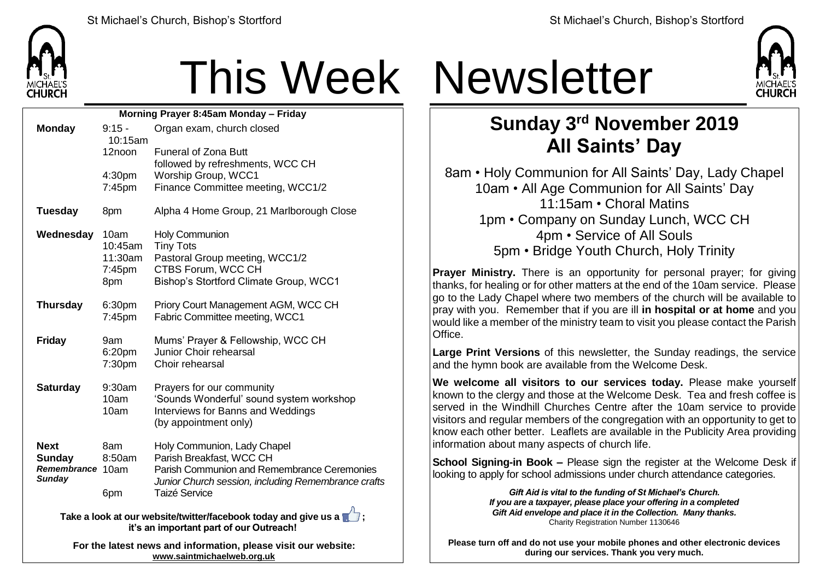

## This Week Newsletter

| Morning Prayer 8:45am Monday - Friday |                      |                                                                                                            |  |
|---------------------------------------|----------------------|------------------------------------------------------------------------------------------------------------|--|
| <b>Monday</b>                         | $9:15 -$             | Organ exam, church closed                                                                                  |  |
|                                       | 10:15am<br>12noon    | <b>Funeral of Zona Butt</b>                                                                                |  |
|                                       |                      | followed by refreshments, WCC CH                                                                           |  |
|                                       | 4:30pm               | Worship Group, WCC1                                                                                        |  |
|                                       | 7:45pm               | Finance Committee meeting, WCC1/2                                                                          |  |
| <b>Tuesday</b>                        | 8pm                  | Alpha 4 Home Group, 21 Marlborough Close                                                                   |  |
| Wednesday                             | 10am                 | <b>Holy Communion</b>                                                                                      |  |
|                                       | 10:45am              | <b>Tiny Tots</b>                                                                                           |  |
|                                       | 11:30am<br>$7:45$ pm | Pastoral Group meeting, WCC1/2<br>CTBS Forum, WCC CH                                                       |  |
|                                       | 8pm                  | Bishop's Stortford Climate Group, WCC1                                                                     |  |
|                                       |                      |                                                                                                            |  |
| <b>Thursday</b>                       | 6:30pm               | Priory Court Management AGM, WCC CH                                                                        |  |
|                                       | 7:45pm               | Fabric Committee meeting, WCC1                                                                             |  |
| <b>Friday</b>                         | 9am                  | Mums' Prayer & Fellowship, WCC CH                                                                          |  |
|                                       | 6:20pm               | Junior Choir rehearsal                                                                                     |  |
|                                       | 7:30pm               | Choir rehearsal                                                                                            |  |
| <b>Saturday</b>                       | 9:30am               | Prayers for our community                                                                                  |  |
|                                       | 10am                 | 'Sounds Wonderful' sound system workshop                                                                   |  |
|                                       | 10am                 | Interviews for Banns and Weddings                                                                          |  |
|                                       |                      | (by appointment only)                                                                                      |  |
| <b>Next</b>                           | 8am                  | Holy Communion, Lady Chapel                                                                                |  |
| <b>Sunday</b>                         | 8:50am               | Parish Breakfast, WCC CH                                                                                   |  |
| Remembrance 10am<br><b>Sunday</b>     |                      | Parish Communion and Remembrance Ceremonies                                                                |  |
|                                       | 6pm                  | Junior Church session, including Remembrance crafts<br><b>Taizé Service</b>                                |  |
|                                       |                      |                                                                                                            |  |
|                                       |                      | Take a look at our website/twitter/facebook today and give us a<br>it's an important part of our Outreach! |  |
|                                       |                      |                                                                                                            |  |

**For the latest news and information, please visit our website: [www.saintmichaelweb.org.uk](http://www.saintmichaelweb.org.uk/)**



## **Sunday 3 rd November 2019 All Saints' Day**

8am • Holy Communion for All Saints' Day, Lady Chapel 10am • All Age Communion for All Saints' Day 11:15am • Choral Matins 1pm • Company on Sunday Lunch, WCC CH 4pm • Service of All Souls 5pm • Bridge Youth Church, Holy Trinity

**Prayer Ministry.** There is an opportunity for personal prayer; for giving thanks, for healing or for other matters at the end of the 10am service. Please go to the Lady Chapel where two members of the church will be available to pray with you. Remember that if you are ill **in hospital or at home** and you would like a member of the ministry team to visit you please contact the Parish **Office** 

**Large Print Versions** of this newsletter, the Sunday readings, the service and the hymn book are available from the Welcome Desk.

**We welcome all visitors to our services today.** Please make yourself known to the clergy and those at the Welcome Desk. Tea and fresh coffee is served in the Windhill Churches Centre after the 10am service to provide visitors and regular members of the congregation with an opportunity to get to know each other better. Leaflets are available in the Publicity Area providing information about many aspects of church life.

**School Signing-in Book –** Please sign the register at the Welcome Desk if looking to apply for school admissions under church attendance categories.

> *Gift Aid is vital to the funding of St Michael's Church. If you are a taxpayer, please place your offering in a completed Gift Aid envelope and place it in the Collection. Many thanks.* Charity Registration Number 1130646

**Please turn off and do not use your mobile phones and other electronic devices during our services. Thank you very much.**